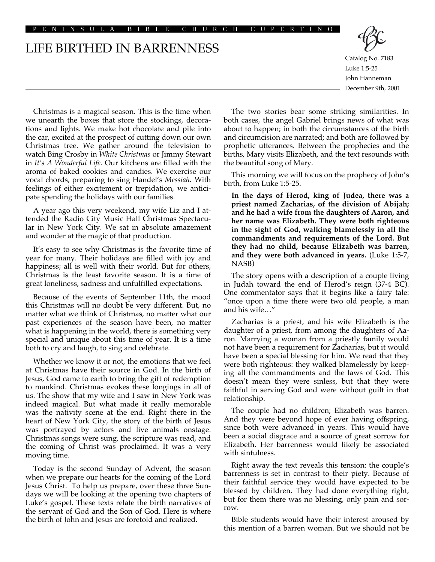PENINSULA BIBLE CHURCH CUPERTINO

## LIFE BIRTHED IN BARRENNESS



Catalog No. 7183 Luke 1:5-25 John Hanneman December 9th, 2001

Christmas is a magical season. This is the time when we unearth the boxes that store the stockings, decorations and lights. We make hot chocolate and pile into the car, excited at the prospect of cutting down our own Christmas tree. We gather around the television to watch Bing Crosby in *White Christmas* or Jimmy Stewart in *It's A Wonderful Life*. Our kitchens are filled with the aroma of baked cookies and candies. We exercise our vocal chords, preparing to sing Handel's *Messiah*. With feelings of either excitement or trepidation, we anticipate spending the holidays with our families.

A year ago this very weekend, my wife Liz and I attended the Radio City Music Hall Christmas Spectacular in New York City. We sat in absolute amazement and wonder at the magic of that production.

It's easy to see why Christmas is the favorite time of year for many. Their holidays are filled with joy and happiness; all is well with their world. But for others, Christmas is the least favorite season. It is a time of great loneliness, sadness and unfulfilled expectations.

Because of the events of September 11th, the mood this Christmas will no doubt be very different. But, no matter what we think of Christmas, no matter what our past experiences of the season have been, no matter what is happening in the world, there is something very special and unique about this time of year. It is a time both to cry and laugh, to sing and celebrate.

Whether we know it or not, the emotions that we feel at Christmas have their source in God. In the birth of Jesus, God came to earth to bring the gift of redemption to mankind. Christmas evokes these longings in all of us. The show that my wife and I saw in New York was indeed magical. But what made it really memorable was the nativity scene at the end. Right there in the heart of New York City, the story of the birth of Jesus was portrayed by actors and live animals onstage. Christmas songs were sung, the scripture was read, and the coming of Christ was proclaimed. It was a very moving time.

Today is the second Sunday of Advent, the season when we prepare our hearts for the coming of the Lord Jesus Christ. To help us prepare, over these three Sundays we will be looking at the opening two chapters of Luke's gospel. These texts relate the birth narratives of the servant of God and the Son of God. Here is where the birth of John and Jesus are foretold and realized.

The two stories bear some striking similarities. In both cases, the angel Gabriel brings news of what was about to happen; in both the circumstances of the birth and circumcision are narrated; and both are followed by prophetic utterances. Between the prophecies and the births, Mary visits Elizabeth, and the text resounds with the beautiful song of Mary.

This morning we will focus on the prophecy of John's birth, from Luke 1:5-25.

**In the days of Herod, king of Judea, there was a priest named Zacharias, of the division of Abijah; and he had a wife from the daughters of Aaron, and her name was Elizabeth. They were both righteous in the sight of God, walking blamelessly in all the commandments and requirements of the Lord. But they had no child, because Elizabeth was barren, and they were both advanced in years.** (Luke 1:5-7, NASB)

The story opens with a description of a couple living in Judah toward the end of Herod's reign (37-4 BC). One commentator says that it begins like a fairy tale: "once upon a time there were two old people, a man and his wife…"

Zacharias is a priest, and his wife Elizabeth is the daughter of a priest, from among the daughters of Aaron. Marrying a woman from a priestly family would not have been a requirement for Zacharias, but it would have been a special blessing for him. We read that they were both righteous: they walked blamelessly by keeping all the commandments and the laws of God. This doesn't mean they were sinless, but that they were faithful in serving God and were without guilt in that relationship.

The couple had no children; Elizabeth was barren. And they were beyond hope of ever having offspring, since both were advanced in years. This would have been a social disgrace and a source of great sorrow for Elizabeth. Her barrenness would likely be associated with sinfulness.

Right away the text reveals this tension: the couple's barrenness is set in contrast to their piety. Because of their faithful service they would have expected to be blessed by children. They had done everything right, but for them there was no blessing, only pain and sorrow.

Bible students would have their interest aroused by this mention of a barren woman. But we should not be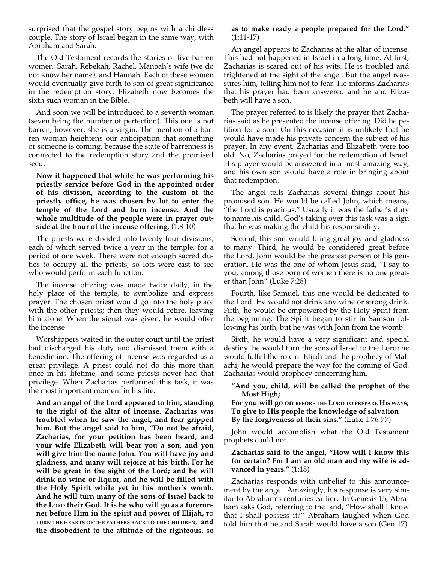surprised that the gospel story begins with a childless couple. The story of Israel began in the same way, with Abraham and Sarah.

The Old Testament records the stories of five barren women: Sarah, Rebekah, Rachel, Manoah's wife (we do not know her name), and Hannah. Each of these women would eventually give birth to son of great significance in the redemption story. Elizabeth now becomes the sixth such woman in the Bible.

And soon we will be introduced to a seventh woman (seven being the number of perfection). This one is not barren, however; she is a virgin. The mention of a barren woman heightens our anticipation that something or someone is coming, because the state of barrenness is connected to the redemption story and the promised seed.

**Now it happened that while he was performing his priestly service before God in the appointed order of his division, according to the custom of the priestly office, he was chosen by lot to enter the temple of the Lord and burn incense. And the whole multitude of the people were in prayer outside at the hour of the incense offering.** (1:8-10)

The priests were divided into twenty-four divisions, each of which served twice a year in the temple, for a period of one week. There were not enough sacred duties to occupy all the priests, so lots were cast to see who would perform each function.

The incense offering was made twice daily, in the holy place of the temple, to symbolize and express prayer. The chosen priest would go into the holy place with the other priests; then they would retire, leaving him alone. When the signal was given, he would offer the incense.

Worshippers waited in the outer court until the priest had discharged his duty and dismissed them with a benediction. The offering of incense was regarded as a great privilege. A priest could not do this more than once in his lifetime, and some priests never had that privilege. When Zacharias performed this task, it was the most important moment in his life.

**And an angel of the Lord appeared to him, standing to the right of the altar of incense. Zacharias was troubled when he saw the angel, and fear gripped him. But the angel said to him, "Do not be afraid, Zacharias, for your petition has been heard, and your wife Elizabeth will bear you a son, and you will give him the name John. You will have joy and gladness, and many will rejoice at his birth. For he will be great in the sight of the Lord; and he will drink no wine or liquor, and he will be filled with the Holy Spirit while yet in his mother's womb. And he will turn many of the sons of Israel back to the LORD their God. It is he who will go as a forerunner before Him in the spirit and power of Elijah, TO TURN THE HEARTS OF THE FATHERS BACK TO THE CHILDREN, and the disobedient to the attitude of the righteous, so**

## **as to make ready a people prepared for the Lord."** (1:11-17)

An angel appears to Zacharias at the altar of incense. This had not happened in Israel in a long time. At first, Zacharias is scared out of his wits. He is troubled and frightened at the sight of the angel. But the angel reassures him, telling him not to fear. He informs Zacharias that his prayer had been answered and he and Elizabeth will have a son.

The prayer referred to is likely the prayer that Zacharias said as he presented the incense offering. Did he petition for a son? On this occasion it is unlikely that he would have made his private concern the subject of his prayer. In any event, Zacharias and Elizabeth were too old. No, Zacharias prayed for the redemption of Israel. His prayer would be answered in a most amazing way, and his own son would have a role in bringing about that redemption.

The angel tells Zacharias several things about his promised son. He would be called John, which means, "the Lord is gracious." Usually it was the father's duty to name his child. God's taking over this task was a sign that he was making the child his responsibility.

Second, this son would bring great joy and gladness to many. Third, he would be considered great before the Lord. John would be the greatest person of his generation. He was the one of whom Jesus said, "I say to you, among those born of women there is no one greater than John" (Luke 7:28).

Fourth, like Samuel, this one would be dedicated to the Lord. He would not drink any wine or strong drink. Fifth, he would be empowered by the Holy Spirit from the beginning. The Spirit began to stir in Samson following his birth, but he was with John from the womb.

Sixth, he would have a very significant and special destiny: he would turn the sons of Israel to the Lord; he would fulfill the role of Elijah and the prophecy of Malachi; he would prepare the way for the coming of God. Zacharias would prophecy concerning him,

## **"And you, child, will be called the prophet of the Most High;**

**For you will go on BEFORE THE LORD TO PREPARE HIS WAYs; To give to His people the knowledge of salvation By the forgiveness of their sins."** (Luke 1:76-77)

John would accomplish what the Old Testament prophets could not.

## **Zacharias said to the angel, "How will I know this for certain? For I am an old man and my wife is advanced in years."** (1:18)

Zacharias responds with unbelief to this announcement by the angel. Amazingly, his response is very similar to Abraham's centuries earlier. In Genesis 15, Abraham asks God, referring to the land, "How shall I know that I shall possess it?" Abraham laughed when God told him that he and Sarah would have a son (Gen 17).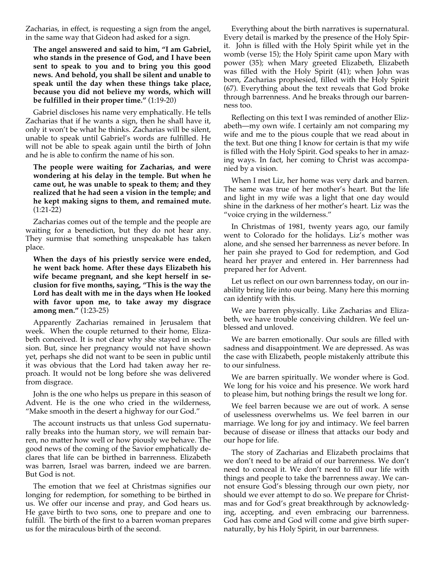Zacharias, in effect, is requesting a sign from the angel, in the same way that Gideon had asked for a sign.

**The angel answered and said to him, "I am Gabriel, who stands in the presence of God, and I have been sent to speak to you and to bring you this good news. And behold, you shall be silent and unable to speak until the day when these things take place, because you did not believe my words, which will be fulfilled in their proper time."** (1:19-20)

Gabriel discloses his name very emphatically. He tells Zacharias that if he wants a sign, then he shall have it, only it won't be what he thinks. Zacharias will be silent, unable to speak until Gabriel's words are fulfilled. He will not be able to speak again until the birth of John and he is able to confirm the name of his son.

**The people were waiting for Zacharias, and were wondering at his delay in the temple. But when he came out, he was unable to speak to them; and they realized that he had seen a vision in the temple; and he kept making signs to them, and remained mute.** (1:21-22)

Zacharias comes out of the temple and the people are waiting for a benediction, but they do not hear any. They surmise that something unspeakable has taken place.

**When the days of his priestly service were ended, he went back home. After these days Elizabeth his wife became pregnant, and she kept herself in seclusion for five months, saying, "This is the way the Lord has dealt with me in the days when He looked with favor upon me, to take away my disgrace among men."** (1:23-25)

Apparently Zacharias remained in Jerusalem that week. When the couple returned to their home, Elizabeth conceived. It is not clear why she stayed in seclusion. But, since her pregnancy would not have shown yet, perhaps she did not want to be seen in public until it was obvious that the Lord had taken away her reproach. It would not be long before she was delivered from disgrace.

John is the one who helps us prepare in this season of Advent. He is the one who cried in the wilderness, "Make smooth in the desert a highway for our God."

The account instructs us that unless God supernaturally breaks into the human story, we will remain barren, no matter how well or how piously we behave. The good news of the coming of the Savior emphatically declares that life can be birthed in barrenness. Elizabeth was barren, Israel was barren, indeed we are barren. But God is not.

The emotion that we feel at Christmas signifies our longing for redemption, for something to be birthed in us. We offer our incense and pray, and God hears us. He gave birth to two sons, one to prepare and one to fulfill. The birth of the first to a barren woman prepares us for the miraculous birth of the second.

Everything about the birth narratives is supernatural. Every detail is marked by the presence of the Holy Spirit. John is filled with the Holy Spirit while yet in the womb (verse 15); the Holy Spirit came upon Mary with power (35); when Mary greeted Elizabeth, Elizabeth was filled with the Holy Spirit (41); when John was born, Zacharias prophesied, filled with the Holy Spirit (67). Everything about the text reveals that God broke through barrenness. And he breaks through our barrenness too.

Reflecting on this text I was reminded of another Elizabeth—my own wife. I certainly am not comparing my wife and me to the pious couple that we read about in the text. But one thing I know for certain is that my wife is filled with the Holy Spirit. God speaks to her in amazing ways. In fact, her coming to Christ was accompanied by a vision.

When I met Liz, her home was very dark and barren. The same was true of her mother's heart. But the life and light in my wife was a light that one day would shine in the darkness of her mother's heart. Liz was the "voice crying in the wilderness."

In Christmas of 1981, twenty years ago, our family went to Colorado for the holidays. Liz's mother was alone, and she sensed her barrenness as never before. In her pain she prayed to God for redemption, and God heard her prayer and entered in. Her barrenness had prepared her for Advent.

Let us reflect on our own barrenness today, on our inability bring life into our being. Many here this morning can identify with this.

We are barren physically. Like Zacharias and Elizabeth, we have trouble conceiving children. We feel unblessed and unloved.

We are barren emotionally. Our souls are filled with sadness and disappointment. We are depressed. As was the case with Elizabeth, people mistakenly attribute this to our sinfulness.

We are barren spiritually. We wonder where is God. We long for his voice and his presence. We work hard to please him, but nothing brings the result we long for.

We feel barren because we are out of work. A sense of uselessness overwhelms us. We feel barren in our marriage. We long for joy and intimacy. We feel barren because of disease or illness that attacks our body and our hope for life.

The story of Zacharias and Elizabeth proclaims that we don't need to be afraid of our barrenness. We don't need to conceal it. We don't need to fill our life with things and people to take the barrenness away. We cannot ensure God's blessing through our own piety, nor should we ever attempt to do so. We prepare for Christmas and for God's great breakthrough by acknowledging, accepting, and even embracing our barrenness. God has come and God will come and give birth supernaturally, by his Holy Spirit, in our barrenness.